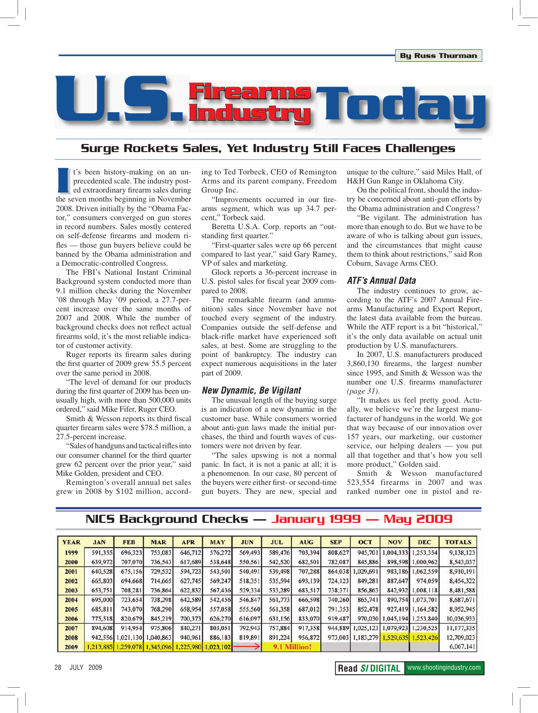

# Surge Rockets Sales, Yet Industry Still Faces Challenges

It's been history-making on an un-<br>precedented scale. The industry post-<br>ed extraordinary firearm sales during<br>the seven months beginning in November t's been history-making on an unprecedented scale. The industry posted extraordinary firearm sales during 2008. Driven initially by the "Obama Factor," consumers converged on gun stores in record numbers. Sales mostly centered on self-defense firearms and modern rifles — those gun buyers believe could be banned by the Obama administration and a Democratic-controlled Congress.

The FBI's National Instant Criminal Background system conducted more than 9.1 million checks during the November '08 through May '09 period, a 27.7-percent increase over the same months of 2007 and 2008. While the number of background checks does not reflect actual firearms sold, it's the most reliable indicator of customer activity.

Ruger reports its firearm sales during the first quarter of 2009 grew 55.5 percent over the same period in 2008.

"The level of demand for our products during the first quarter of 2009 has been unusually high, with more than 500,000 units ordered," said Mike Fifer, Ruger CEO.

Smith & Wesson reports its third fiscal quarter firearm sales were \$78.5 million, a 27.5-percent increase.

"Sales of handguns and tactical rifles into our consumer channel for the third quarter grew 62 percent over the prior year," said Mike Golden, president and CEO.

Remington's overall annual net sales grew in 2008 by \$102 million, according to Ted Torbeck, CEO of Remington Arms and its parent company, Freedom Group Inc.

"Improvements occurred in our firearms segment, which was up 34.7 percent," Torbeck said.

Beretta U.S.A. Corp. reports an "outstanding first quarter."

"First-quarter sales were up 66 percent compared to last year," said Gary Ramey, VP of sales and marketing.

Glock reports a 36-percent increase in U.S. pistol sales for fiscal year 2009 compared to 2008.

The remarkable firearm (and ammunition) sales since November have not touched every segment of the industry. Companies outside the self-defense and black-rifle market have experienced soft sales, at best. Some are struggling to the point of bankruptcy. The industry can expect numerous acquisitions in the later part of 2009.

#### **New Dynamic, Be Vigilant**

The unusual length of the buying surge is an indication of a new dynamic in the customer base. While consumers worried about anti-gun laws made the initial purchases, the third and fourth waves of customers were not driven by fear.

"The sales upswing is not a normal panic. In fact, it is not a panic at all; it is a phenomenon. In our case, 80 percent of the buyers were either first- or second-time gun buyers. They are new, special and unique to the culture," said Miles Hall, of H&H Gun Range in Oklahoma City.

On the political front, should the industry be concerned about anti-gun efforts by the Obama administration and Congress?

"Be vigilant. The administration has more than enough to do. But we have to be aware of who is talking about gun issues, and the circumstances that might cause them to think about restrictions," said Ron Coburn, Savage Arms CEO.

#### **ATF's Annual Data**

The industry continues to grow, according to the ATF's 2007 Annual Firearms Manufacturing and Export Report, the latest data available from the bureau. While the ATF report is a bit "historical," it's the only data available on actual unit production by U.S. manufacturers.

In 2007, U.S. manufacturers produced 3,860,130 firearms, the largest number since 1995, and Smith & Wesson was the number one U.S. firearms manufacturer *(page 31)*.

"It makes us feel pretty good. Actually, we believe we're the largest manufacturer of handguns in the world. We got that way because of our innovation over 157 years, our marketing, our customer service, our helping dealers — you put all that together and that's how you sell more product," Golden said.

Smith & Wesson manufactured 523,554 firearms in 2007 and was ranked number one in pistol and re-

# NICS Background Checks — January 1999 — May 2009

| <b>YEAR</b> | <b>JAN</b> | <b>FEB</b> | <b>MAR</b> | <b>APR</b> | <b>MAY</b> | <b>JUN</b> | <b>JUL</b>   | <b>AUG</b> | <b>SEP</b> | <b>OCT</b> | <b>NOV</b>                  | <b>DEC</b>          | <b>TOTALS</b> |
|-------------|------------|------------|------------|------------|------------|------------|--------------|------------|------------|------------|-----------------------------|---------------------|---------------|
| 1999        | 591.355    | 696,323    | 753,083    | 646,712    | 576.272    | 569,493    | 589,476      | 703,394    | 808,627    | 945,701    | .004.333                    | 1,253,354           | 9,138,123     |
| 2000        | 639,972    | 707,070    | 736,543    | 617,689    | 538,648    | 550,561    | 542,520      | 682,501    | 782,087    | 845,886    | 898,598                     | .000,962            | 8,543,037     |
| 2001        | 640,528    | 675,156    | 729,532    | 594,723    | 543,501    | 540,491    | 539,498      | 707,288    | 864,038    | 1,029,691  | 983,186                     | .062,559            | 8,910,191     |
| 2002        | 665,803    | 694,668    | 714,665    | 627,745    | 569,247    | 518,351    | 535,594      | 693,139    | 724,123    | 849,281    | 887,647                     | 974,059             | 8,454,322     |
| 2003        | 653,751    | 708,281    | 736,864    | 622,832    | 567,436    | 529,334    | 533,289      | 683,517    | 738,371    | 856,863    | 842,932                     | .008.118            | 8,481,588     |
| 2004        | 695,000    | 723,654    | 738,298    | 642,589    | 542,456    | 546,847    | 561,773      | 666,598    | 740,260    | 865,741    | 890,754                     | 1,073,701           | 8,687,671     |
| 2005        | 685,811    | 743,070    | 768,290    | 658,954    | 557,058    | 555,560    | 561,358      | 687,012    | 791,353    | 852,478    | 927,419                     | 1,164,582           | 8,952,945     |
| 2006        | 775,518    | 820,679    | 845,219    | 700,373    | 626,270    | 616,097    | 631,156      | 833,070    | 919,487    |            | 970,030 1,045,194 1,253,840 |                     | 10.036,933    |
| 2007        | 894,608    | 914,954    | 975,806    | 840,271    | 803,051    | 792,943    | 757,884      | 917,358    | 944,889    | 1,025,123  | 1,079,923                   | 1,230,525           | 11,177,335    |
| 2008        | 942,556    | 1,021,130  | 1,040,863  | 940,961    | 886,183    | 819,891    | 891,224      | 956,872    | 973,003    | 1.183.279  |                             | 1.529,635 1.523,426 | 12,709,023    |
| 2009        | 1.213,885  | 1.259,078  | 1.345,096  | 1.225,980  | .023, 102  |            | 9.1 Million! |            |            |            |                             |                     | 6,067,141     |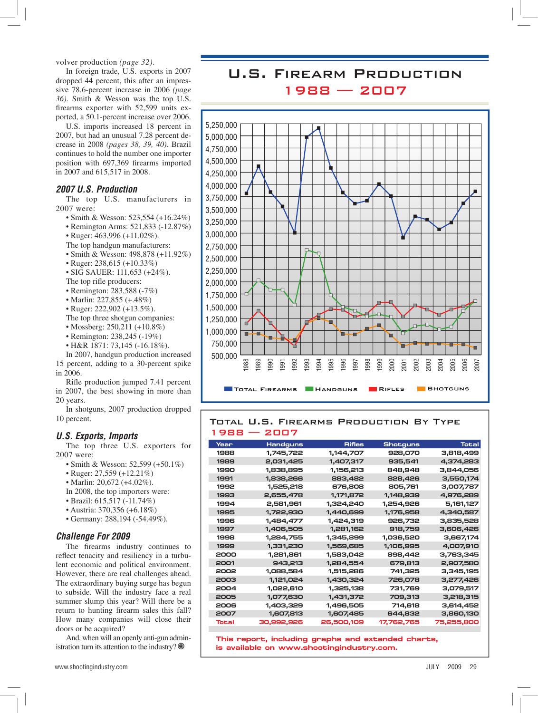volver production *(page 32)*.

In foreign trade, U.S. exports in 2007 dropped 44 percent, this after an impressive 78.6-percent increase in 2006 *(page 36)*. Smith & Wesson was the top U.S. firearms exporter with 52,599 units exported, a 50.1-percent increase over 2006.

U.S. imports increased 18 percent in 2007, but had an unusual 7.28 percent decrease in 2008 *(pages 38, 39, 40)*. Brazil continues to hold the number one importer position with 697,369 firearms imported in 2007 and 615,517 in 2008.

#### **2007 U.S. Production**

The top U.S. manufacturers in 2007 were:

- Smith & Wesson:  $523,554 (+16.24\%)$
- Remington Arms:  $521,833$  ( $-12.87\%$ )
- Ruger:  $463,996 (+11.02\%)$ .
- The top handgun manufacturers:
- Smith & Wesson:  $498,878 (+11.92\%)$
- Ruger:  $238,615$  (+10.33%)
- $\cdot$  SIG SAUER: 111,653 (+24%).
- The top rifle producers:
- Remington: 283,588 (-7%)
- Marlin: 227,855  $(+.48\%)$
- $\cdot$  Ruger: 222,902 (+13.5%).
- The top three shotgun companies:
- Mossberg:  $250,211 (+10.8\%)$
- Remington:  $238,245$  (-19%)
- H&R 1871: 73,145 (-16.18%).

In 2007, handgun production increased 15 percent, adding to a 30-percent spike in 2006.

Rifle production jumped 7.41 percent in 2007, the best showing in more than 20 years.

In shotguns, 2007 production dropped 10 percent.

#### **U.S. Exports, Imports**

The top three U.S. exporters for 2007 were:

- Smith & Wesson:  $52,599 (+50.1\%)$
- Ruger:  $27,559 (+12.21\%)$
- Marlin:  $20,672 (+4.02\%)$ .
- In 2008, the top importers were:
- $\bullet$  Brazil: 615,517 (-11.74%)
- $\cdot$  Austria: 370.356 (+6.18%)
- $\cdot$  Germany: 288,194 (-54.49%).

#### **Challenge For 2009**

The firearms industry continues to reflect tenacity and resiliency in a turbulent economic and political environment. However, there are real challenges ahead. The extraordinary buying surge has begun to subside. Will the industry face a real summer slump this year? Will there be a return to hunting firearm sales this fall? How many companies will close their doors or be acquired?

And, when will an openly anti-gun administration turn its attention to the industry?  $\circledcirc$ 

# U.S. Firearm Production 1988 — 2007



#### Total U.S. Firearms Production By Type 1988 — 2007

| Year  | Handguns   | <b>Rifles</b> | <b>Shotguns</b> | <b>Total</b> |
|-------|------------|---------------|-----------------|--------------|
| 1988  | 1,745,722  | 1,144,707     | 928,070         | 3,818,499    |
| 1989  | 2,031,425  | 1,407,317     | 935,541         | 4,374,283    |
| 1990  | 1,838,895  | 1,156,213     | 848,948         | 3,844,056    |
| 1991  | 1,838,266  | 883,482       | 828,426         | 3,550,174    |
| 1992  | 1,525,218  | 676,808       | 805,761         | 3,007,787    |
| 1993  | 2,655,478  | 1,171,872     | 1,148,939       | 4,976,289    |
| 1994  | 2,581,961  | 1,324,240     | 1,254,926       | 5,161,127    |
| 1995  | 1,722,930  | 1,440,699     | 1,176,958       | 4,340,587    |
| 1996  | 1,484,477  | 1,424,319     | 926,732         | 3,835,528    |
| 1997  | 1,406,505  | 1,281,162     | 918,759         | 3,606,426    |
| 1998  | 1,284,755  | 1,345,899     | 1,036,520       | 3,667,174    |
| 1999  | 1,331,230  | 1,569,685     | 1,106,995       | 4,007,910    |
| 2000  | 1,281,861  | 1,583,042     | 898,442         | 3,763,345    |
| 2001  | 943,213    | 1,284,554     | 679,813         | 2,907,580    |
| 2002  | 1,088,584  | 1,515,286     | 741,325         | 3,345,195    |
| 2003  | 1,121,024  | 1,430,324     | 726,078         | 3,277,426    |
| 2004  | 1,022,610  | 1,325,138     | 731,769         | 3,079,517    |
| 2005  | 1,077,630  | 1,431,372     | 709,313         | 3,218,315    |
| 2006  | 1,403,329  | 1,496,505     | 714,618         | 3,614,452    |
| 2007  | 1,607,813  | 1,607,485     | 644,832         | 3,860,130    |
| Total | 30,992,926 | 26,500,109    | 17,762,765      | 75,255,800   |

 $T$ his report, including graphs and extended charts,  $i$  **s** available on www.shootingindustry.com.

www.shootingindustry.com JULY 2009 29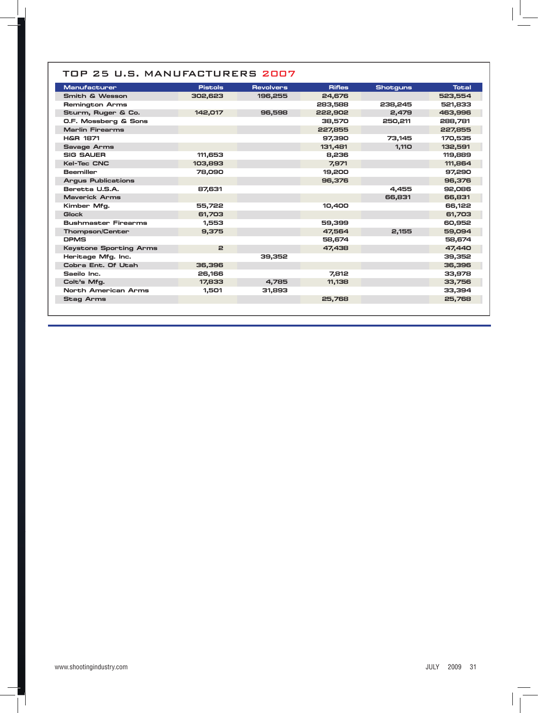| <b>Manufacturer</b>           | <b>Pistols</b> | <b>Revolvers</b> | <b>Rifles</b> | <b>Shotguns</b> | <b>Total</b> |
|-------------------------------|----------------|------------------|---------------|-----------------|--------------|
| <b>Smith &amp; Wesson</b>     | 302,623        | 196,255          | 24,676        |                 | 523,554      |
| <b>Remington Arms</b>         |                |                  | 283,588       | 238,245         | 521,833      |
| Sturm, Ruger & Co.            | 142.017        | 96,598           | 222,902       | 2.479           | 463,996      |
| O.F. Mossberg & Sons          |                |                  | 38,570        | 250,211         | 288,781      |
| <b>Marlin Firearms</b>        |                |                  | 227,855       |                 | 227,855      |
| <b>H&amp;R 1871</b>           |                |                  | 97,390        | 73,145          | 170,535      |
| <b>Savage Arms</b>            |                |                  | 131,481       | 1,110           | 132,591      |
| <b>SIG SAUER</b>              | 111.653        |                  | 8,236         |                 | 119,889      |
| <b>Kel-Tec CNC</b>            | 103,893        |                  | 7,971         |                 | 111,864      |
| <b>Beemiller</b>              | 78,090         |                  | 19,200        |                 | 97,290       |
| <b>Argus Publications</b>     |                |                  | 96,376        |                 | 96,376       |
| Beretta U.S.A.                | 87,631         |                  |               | 4,455           | 92,086       |
| <b>Maverick Arms</b>          |                |                  |               | 66,831          | 66,831       |
| Kimber Mfg.                   | 55,722         |                  | 10,400        |                 | 66,122       |
| <b>Glock</b>                  | 61,703         |                  |               |                 | 61,703       |
| <b>Bushmaster Firearms</b>    | 1.553          |                  | 59,399        |                 | 60,952       |
| <b>Thompson/Center</b>        | 9,375          |                  | 47,564        | 2,155           | 59,094       |
| <b>DPMS</b>                   |                |                  | 58.674        |                 | 58,674       |
| <b>Keystone Sporting Arms</b> | $\mathbf{z}$   |                  | 47,438        |                 | 47,440       |
| Heritage Mfg. Inc.            |                | 39,352           |               |                 | 39,352       |
| Cobra Ent. Of Utah            | 36,396         |                  |               |                 | 36,396       |
| Saeilo Inc.                   | 26,166         |                  | 7.812         |                 | 33,978       |
| Colt's Mfg.                   | 17,833         | 4.785            | 11,138        |                 | 33,756       |
| <b>North American Arms</b>    | 1,501          | 31,893           |               |                 | 33,394       |
| <b>Stag Arms</b>              |                |                  | 25,768        |                 | 25,768       |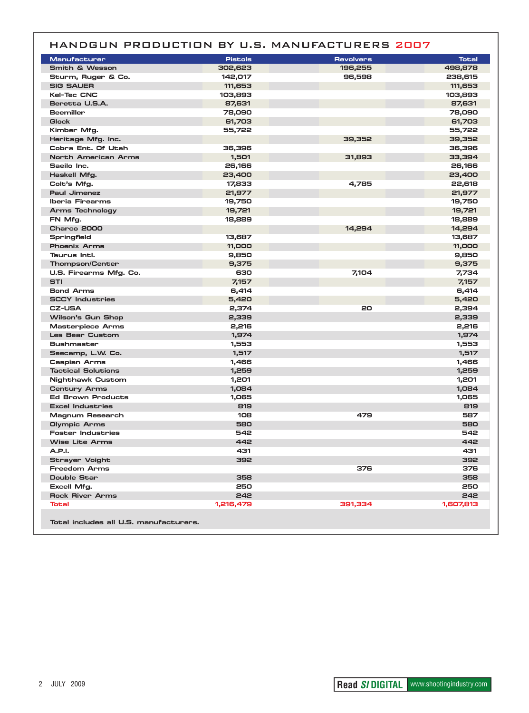|                                        |                | HANDGUN PRODUCTION BY U.S. MANUFACTURERS 2007 |              |
|----------------------------------------|----------------|-----------------------------------------------|--------------|
| <b>Manufacturer</b>                    | <b>Pistols</b> | <b>Revolvers</b>                              | <b>Total</b> |
| Smith & Wesson                         | 302,623        | 196,255                                       | 498,878      |
| Sturm, Ruger & Co.                     | 142,017        | 96,598                                        | 238,615      |
| <b>SIG SAUER</b>                       | 111,653        |                                               | 111,653      |
| <b>Kel-Tec CNC</b>                     | 103,893        |                                               | 103,893      |
| Beretta U.S.A.                         | 87,631         |                                               | 87,631       |
| <b>Beemiller</b>                       | 78,090         |                                               | 78,090       |
| <b>Glock</b>                           | 61,703         |                                               | 61,703       |
| Kimber Mfg.                            | 55,722         |                                               | 55,722       |
| Heritage Mfg. Inc.                     |                | 39,352                                        | 39,352       |
| Cobra Ent. Of Utah                     | 36,396         |                                               | 36,396       |
| <b>North American Arms</b>             | 1,501          | 31,893                                        | 33,394       |
| Saeilo Inc.                            | 26,166         |                                               | 26,166       |
| Haskell Mfg.                           | 23,400         |                                               | 23,400       |
| Colt's Mfg.                            | 17,833         | 4,785                                         | 22,618       |
| Paul Jimenez                           | 21,977         |                                               | 21,977       |
| <b>Iberia Firearms</b>                 | 19,750         |                                               | 19,750       |
| Arms Technology                        | 19,721         |                                               | 19,721       |
| FN Mfg.                                | 18,889         |                                               | 18,889       |
| <b>Charco 2000</b>                     |                | 14,294                                        | 14,294       |
| Springfield                            | 13,687         |                                               | 13,687       |
| <b>Phoenix Arms</b>                    | 11,000         |                                               | 11,000       |
| Taurus Intl.                           | 9,850          |                                               | 9,850        |
| <b>Thompson/Center</b>                 | 9,375          |                                               | 9,375        |
| U.S. Firearms Mfg. Co.                 | 630            | 7,104                                         | 7,734        |
| STI                                    | 7,157          |                                               | 7,157        |
| <b>Bond Arms</b>                       | 6,414          |                                               | 6,414        |
| <b>SCCY Industries</b>                 | 5,420          |                                               | 5,420        |
| <b>CZ-USA</b>                          | 2,374          | 20                                            | 2,394        |
| Wilson's Gun Shop                      | 2,339          |                                               | 2,339        |
| <b>Masterpiece Arms</b>                | 2,216          |                                               | 2,216        |
| Les Bear Custom                        | 1,974          |                                               | 1,974        |
| <b>Bushmaster</b>                      | 1,553          |                                               | 1,553        |
| Seecamp, L.W. Co.                      | 1,517          |                                               | 1,517        |
| Caspian Arms                           | 1,466          |                                               | 1,466        |
| <b>Tactical Solutions</b>              | 1,259          |                                               | 1,259        |
| <b>Nighthawk Custom</b>                | 1,201          |                                               | 1,201        |
| <b>Century Arms</b>                    | 1,084          |                                               | 1,084        |
| <b>Ed Brown Products</b>               | 1,065          |                                               | 1,065        |
| <b>Excel Industries</b>                | 819            |                                               | 819          |
| Magnum Research                        | 108            | 479                                           | 587          |
| <b>Olympic Arms</b>                    | 580            |                                               | 580          |
| <b>Foster Industries</b>               | 542            |                                               | 542          |
| <b>Wise Lite Arms</b>                  | 442            |                                               | 442          |
| A.P.I.                                 | 431            |                                               | 431          |
| <b>Strayer Voight</b>                  | 392            |                                               | 392          |
| <b>Freedom Arms</b>                    |                | 376                                           | 376          |
| Double Star                            | 358            |                                               | 358          |
| Excell Mfg.                            | 250            |                                               | 250          |
| <b>Rock River Arms</b>                 | 242            |                                               | 242          |
| Total                                  | 1,216,479      | 391,334                                       | 1,607,813    |
| Total includes all U.S. manufacturers. |                |                                               |              |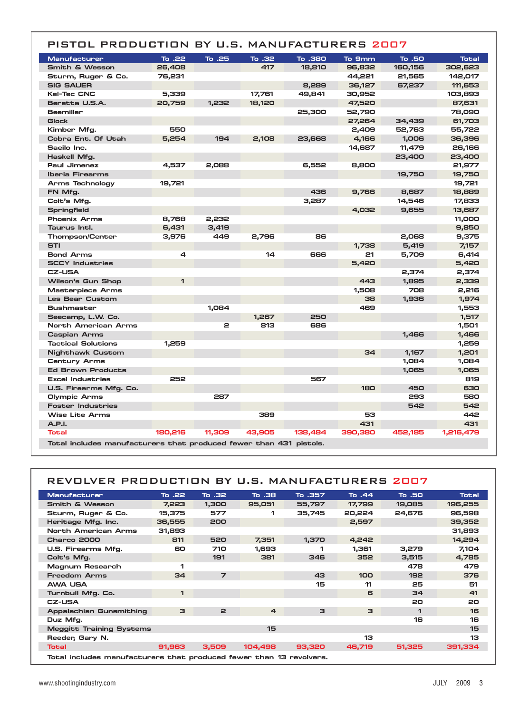## PISTOL PRODUCTION BY U.S. MANUFACTURERS 2007

| <b>Manufacturer</b>                                                | To .22  | To .25 | To .32 | To .380 | To 9mm  | To .50  | <b>Total</b> |
|--------------------------------------------------------------------|---------|--------|--------|---------|---------|---------|--------------|
| Smith & Wesson                                                     | 26,408  |        | 417    | 18,810  | 96,832  | 160,156 | 302,623      |
| Sturm, Ruger & Co.                                                 | 76,231  |        |        |         | 44,221  | 21,565  | 142,017      |
| <b>SIG SAUER</b>                                                   |         |        |        | 8,289   | 36,127  | 67,237  | 111,653      |
| <b>Kel-Tec CNC</b>                                                 | 5,339   |        | 17,761 | 49,841  | 30,952  |         | 103,893      |
| Beretta U.S.A.                                                     | 20,759  | 1,232  | 18,120 |         | 47,520  |         | 87,631       |
| <b>Beemiller</b>                                                   |         |        |        | 25,300  | 52,790  |         | 78,090       |
| <b>Glock</b>                                                       |         |        |        |         | 27,264  | 34,439  | 61,703       |
| Kimber Mfg.                                                        | 550     |        |        |         | 2,409   | 52,763  | 55,722       |
| Cobra Ent. Of Utah                                                 | 5,254   | 194    | 2,108  | 23,668  | 4,166   | 1,006   | 36,396       |
| Saeilo Inc.                                                        |         |        |        |         | 14,687  | 11,479  | 26,166       |
| Haskell Mfg.                                                       |         |        |        |         |         | 23,400  | 23,400       |
| Paul Jimenez                                                       | 4,537   | 2,088  |        | 6,552   | 8,800   |         | 21,977       |
| <b>Iberia Firearms</b>                                             |         |        |        |         |         | 19,750  | 19,750       |
| Arms Technology                                                    | 19,721  |        |        |         |         |         | 19,721       |
| FN Mfg.                                                            |         |        |        | 436     | 9,766   | 8,687   | 18,889       |
| Colt's Mfg.                                                        |         |        |        | 3,287   |         | 14,546  | 17,833       |
| <b>Springfield</b>                                                 |         |        |        |         | 4,032   | 9,655   | 13,687       |
| <b>Phoenix Arms</b>                                                | 8,768   | 2,232  |        |         |         |         | 11,000       |
| Taurus Intl.                                                       | 6,431   | 3,419  |        |         |         |         | 9,850        |
| Thompson/Center                                                    | 3,976   | 449    | 2,796  | 86      |         | 2,068   | 9,375        |
| <b>STI</b>                                                         |         |        |        |         | 1,738   | 5,419   | 7,157        |
| <b>Bond Arms</b>                                                   | 4       |        | 14     | 666     | 21      | 5,709   | 6,414        |
| <b>SCCY Industries</b>                                             |         |        |        |         | 5,420   |         | 5,420        |
| <b>CZ-USA</b>                                                      |         |        |        |         |         | 2,374   | 2,374        |
| Wilson's Gun Shop                                                  | 1       |        |        |         | 443     | 1,895   | 2,339        |
| <b>Masterpiece Arms</b>                                            |         |        |        |         | 1,508   | 708     | 2,216        |
| <b>Les Bear Custom</b>                                             |         |        |        |         | 38      | 1.936   | 1,974        |
| <b>Bushmaster</b>                                                  |         | 1,084  |        |         | 469     |         | 1,553        |
| Seecamp, L.W. Co.                                                  |         |        | 1,267  | 250     |         |         | 1,517        |
| North American Arms                                                |         | 2      | 813    | 686     |         |         | 1,501        |
| <b>Caspian Arms</b>                                                |         |        |        |         |         | 1,466   | 1,466        |
| <b>Tactical Solutions</b>                                          | 1,259   |        |        |         |         |         | 1,259        |
| <b>Nighthawk Custom</b>                                            |         |        |        |         | 34      | 1,167   | 1,201        |
| <b>Century Arms</b>                                                |         |        |        |         |         | 1,084   | 1,084        |
| <b>Ed Brown Products</b>                                           |         |        |        |         |         | 1,065   | 1,065        |
| <b>Excel Industries</b>                                            | 252     |        |        | 567     |         |         | 819          |
| U.S. Firearms Mfg. Co.                                             |         |        |        |         | 180     | 450     | 630          |
| Olympic Arms                                                       |         | 287    |        |         |         | 293     | 580          |
| <b>Foster Industries</b>                                           |         |        |        |         |         | 542     | 542          |
| <b>Wise Lite Arms</b>                                              |         |        | 389    |         | 53      |         | 442          |
| A.P.I.                                                             |         |        |        |         | 431     |         | 431          |
| <b>Total</b>                                                       | 180,216 | 11,309 | 43,905 | 138,484 | 390,380 | 452,185 | 1,216,479    |
| Total includes manufacturers that produced fewer than 431 pistols. |         |        |        |         |         |         |              |

## REVOLVER PRODUCTION BY U.S. MANUFACTURERS 2007

| <b>Manufacturer</b>             | To .22                                                              | To .32         | To .38          | To .357 | To .44 | To .50       | <b>Total</b> |  |  |
|---------------------------------|---------------------------------------------------------------------|----------------|-----------------|---------|--------|--------------|--------------|--|--|
| Smith & Wesson                  | 7,223                                                               | 1,300          | 95,051          | 55,797  | 17,799 | 19,085       | 196,255      |  |  |
| Sturm, Ruger & Co.              | 15,375                                                              | 577            | 1               | 35,745  | 20,224 | 24,676       | 96,598       |  |  |
| Heritage Mfg. Inc.              | 36,555                                                              | 200            |                 |         | 2,597  |              | 39,352       |  |  |
| North American Arms             | 31,893                                                              |                |                 |         |        |              | 31,893       |  |  |
| Charco 2000                     | 811                                                                 | 520            | 7,351           | 1,370   | 4,242  |              | 14,294       |  |  |
| U.S. Firearms Mfg.              | 60                                                                  | 710            | 1,693           |         | 1,361  | 3,279        | 7,104        |  |  |
| Colt's Mfg.                     |                                                                     | 191            | 381             | 346     | 352    | 3,515        | 4,785        |  |  |
| Magnum Research                 | 1                                                                   |                |                 |         |        | 478          | 479          |  |  |
| <b>Freedom Arms</b>             | 34                                                                  | $\overline{z}$ |                 | 43      | 100    | 192          | 376          |  |  |
| <b>AWA USA</b>                  |                                                                     |                |                 | 15      | 11     | 25           | 51           |  |  |
| Turnbull Mfg. Co.               | 1                                                                   |                |                 |         | 6      | 34           | 41           |  |  |
| <b>CZ-USA</b>                   |                                                                     |                |                 |         |        | 20           | 20           |  |  |
| <b>Appalachian Gunsmithing</b>  | з                                                                   | $\mathbf{z}$   | $\overline{a}$  | 3       | 3      | $\mathbf{1}$ | 16           |  |  |
| Duz Mfg.                        |                                                                     |                |                 |         |        | 16           | 16           |  |  |
| <b>Meggitt Training Systems</b> |                                                                     |                | 15 <sub>1</sub> |         |        |              | 15           |  |  |
| Reeder, Gary N.                 |                                                                     |                |                 |         | 13     |              | 13           |  |  |
| <b>Total</b>                    | 91,963                                                              | 3,509          | 104,498         | 93,320  | 46,719 | 51,325       | 391,334      |  |  |
|                                 | Total includes manufacturers that produced fewer than 13 revolvers. |                |                 |         |        |              |              |  |  |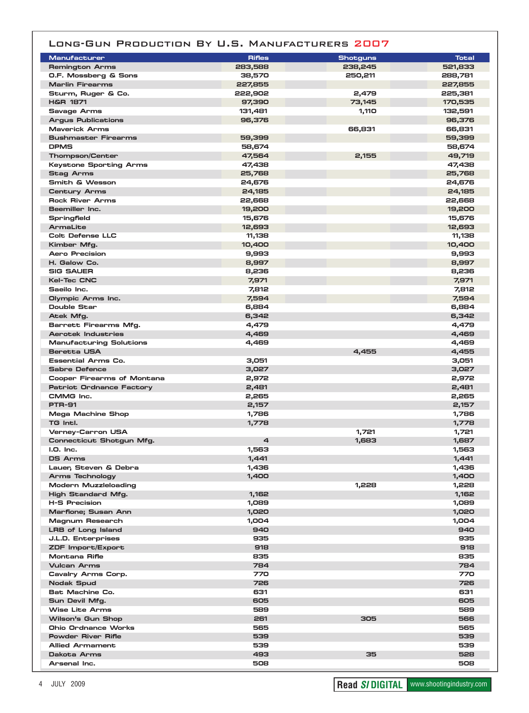## LONG-GUN PRODUCTION BY U.S. MANUFACTURERS 2007

| <b>Manufacturer</b>                               | <b>Rifles</b>  | <b>Shotguns</b> | <b>Total</b>     |
|---------------------------------------------------|----------------|-----------------|------------------|
| <b>Remington Arms</b>                             | 283,588        | 238,245         | 521,833          |
| O.F. Mossberg & Sons                              | 38,570         | 250,211         | 288,781          |
| <b>Marlin Firearms</b>                            | 227,855        |                 | 227,855          |
| Sturm, Ruger & Co.                                | 222,902        | 2,479           | 225,381          |
| <b>H&amp;R 1871</b>                               | 97,390         | 73,145          | 170,535          |
| <b>Savage Arms</b>                                | 131,481        | 1,110           | 132,591          |
| <b>Argus Publications</b><br><b>Maverick Arms</b> | 96,376         |                 | 96,376           |
| <b>Bushmaster Firearms</b>                        | 59,399         | 66,831          | 66,831<br>59,399 |
| <b>DPMS</b>                                       | 58,674         |                 | 58,674           |
| <b>Thompson/Center</b>                            | 47,564         | 2,155           | 49,719           |
| <b>Keystone Sporting Arms</b>                     | 47,438         |                 | 47,438           |
| <b>Stag Arms</b>                                  | 25,768         |                 | 25,768           |
| Smith & Wesson                                    | 24,676         |                 | 24,676           |
| <b>Century Arms</b>                               | 24,185         |                 | 24,185           |
| <b>Rock River Arms</b>                            | 22,668         |                 | 22,668           |
| Beemiller Inc.                                    | 19,200         |                 | 19,200           |
| Springfield                                       | 15,676         |                 | 15,676           |
| ArmaLite                                          | 12,693         |                 | 12,693           |
| Colt Defense LLC                                  | 11,138         |                 | 11,138           |
| Kimber Mfa.                                       | 10,400         |                 | 10,400           |
| Aero Precision                                    | 9,993          |                 | 9,993            |
| H. Galow Co.                                      | 8,997          |                 | 8,997            |
| <b>SIG SAUER</b>                                  | 8,236          |                 | 8,236            |
| <b>Kel-Tec CNC</b>                                | 7,971          |                 | 7,971            |
| Saeilo Inc.                                       | 7,812          |                 | 7,812            |
| Olympic Arms Inc.                                 | 7,594          |                 | 7,594            |
| Double Star                                       | 6,884          |                 | 6,884            |
| Atek Mfg.                                         | 6,342          |                 | 6,342            |
| Barrett Firearms Mfg.                             | 4,479          |                 | 4,479            |
| <b>Aerotek Industries</b>                         | 4,469          |                 | 4,469            |
| <b>Manufacturing Solutions</b>                    | 4,469          |                 | 4,469            |
| <b>Beretta USA</b>                                |                | 4,455           | 4,455            |
| <b>Essential Arms Co.</b>                         | 3,051          |                 | 3,051            |
| <b>Sabre Defence</b>                              | 3,027          |                 | 3,027            |
| Cooper Firearms of Montana                        | 2,972          |                 | 2,972            |
| <b>Patriot Ordnance Factory</b>                   | 2,481          |                 | 2,481            |
| CMMG Inc.                                         | 2,265          |                 | 2,265            |
| <b>PTR-91</b>                                     | 2,157          |                 | 2,157            |
| Mega Machine Shop                                 | 1,786          |                 | 1,786            |
| TG Intl.                                          | 1,778          |                 | 1,778            |
| Verney-Carron USA                                 |                | 1,721           | 1,721            |
| Connecticut Shotgun Mfg.                          | $\overline{a}$ | 1,683           | 1,687            |
| $I.O.$ Inc.<br><b>DS Arms</b>                     | 1,563          |                 | 1,563            |
| Lauer, Steven & Debra                             | 1,441<br>1,436 |                 | 1,441            |
|                                                   | 1,400          |                 | 1,436<br>1,400   |
| Arms Technology<br>Modern Muzzleloading           |                | 1,228           | 1,228            |
| High Standard Mfg.                                | 1,162          |                 | 1,162            |
| <b>H-S Precision</b>                              | 1,089          |                 | 1,089            |
| Marfione; Susan Ann                               | 1,020          |                 | 1,020            |
| Magnum Research                                   | 1,004          |                 | 1,004            |
| <b>LRB of Long Island</b>                         | 940            |                 | 940              |
| J.L.D. Enterprises                                | 935            |                 | 935              |
| ZDF Import/Export                                 | 918            |                 | 918              |
| Montana Rifle                                     | 835            |                 | 835              |
| <b>Vulcan Arms</b>                                | 784            |                 | 784              |
| Cavalry Arms Corp.                                | 770            |                 | 770              |
| Nodak Spud                                        | 726            |                 | 726              |
| Bat Machine Co.                                   | 631            |                 | 631              |
| Sun Devil Mfg.                                    | 605            |                 | 605              |
| <b>Wise Lite Arms</b>                             | 589            |                 | 589              |
| Wilson's Gun Shop                                 | 261            | 305             | 566              |
| Ohio Ordnance Works                               | 565            |                 | 565              |
| <b>Powder River Rifle</b>                         | 539            |                 | 539              |
| <b>Allied Armament</b>                            | 539            |                 | 539              |
| Dakota Arms                                       | 493            | 35              | 528              |
| Arsenal Inc.                                      | 508            |                 | 508              |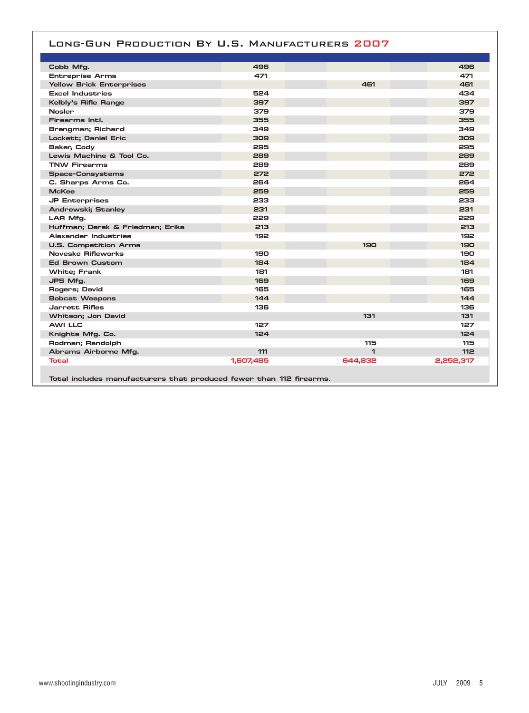#### LONG-GUN PRODUCTION BY U.S. MANUFACTURERS 2007

| Cobb Mfg.                                                           | 496       |         | 496        |
|---------------------------------------------------------------------|-----------|---------|------------|
| <b>Entreprise Arms</b>                                              | 471       |         | 471        |
| <b>Yellow Brick Enterprises</b>                                     |           | 461     | 461        |
| <b>Excel Industries</b>                                             | 524       |         | 434        |
| Kelbly's Rifle Range                                                | 397       |         | 397        |
| <b>Nosler</b>                                                       | 379       |         | 379        |
| Firearms Intl.                                                      | 355       |         | 355        |
| Brengman; Richard                                                   | 349       |         | 349        |
| Lockett; Daniel Eric                                                | 309       |         | 309        |
| Baker, Cody                                                         | 295       |         | 295        |
| Lewis Machine & Tool Co.                                            | 289       |         | 289        |
| <b>TNW Firearms</b>                                                 | 289       |         | 289        |
| <b>Space-Consystems</b>                                             | 272       |         | 272        |
| C. Sharps Arms Co.                                                  | 264       |         | 264        |
| <b>McKee</b>                                                        | 259       |         | 259        |
| <b>JP Enterprises</b>                                               | 233       |         | 233        |
| <b>Andrewski; Stanley</b>                                           | 231       |         | 231        |
| LAR Mfg.                                                            | 229       |         | 229        |
| Huffman; Derek & Friedman; Erika                                    | 213       |         | 213        |
| Alexander Industries                                                | 192       |         | 192        |
| <b>U.S. Competition Arms</b>                                        |           | 190     | <b>190</b> |
| Noveske Rifleworks                                                  | 190       |         | 190        |
| <b>Ed Brown Custom</b>                                              | 184       |         | 184        |
| <b>White; Frank</b>                                                 | 181       |         | 181        |
| JPS Mfg.                                                            | 169       |         | 169        |
| Rogers; David                                                       | 165       |         | 165        |
| <b>Bobcat Weapons</b>                                               | 144       |         | 144        |
| Jarrett Rifles                                                      | 136       |         | 136        |
| Whitson; Jon David                                                  |           | 131     | 131        |
| <b>AWI LLC</b>                                                      | 127       |         | 127        |
| Knights Mfg. Co.                                                    | 124       |         | 124        |
| Rodman; Randolph                                                    |           | 115     | 115        |
| Abrams Airborne Mfg.                                                | 111       | 1       | 112        |
| Total                                                               | 1,607,485 | 644,832 | 2,252,317  |
| Total includes manufacturers that produced fewer than 112 firearms. |           |         |            |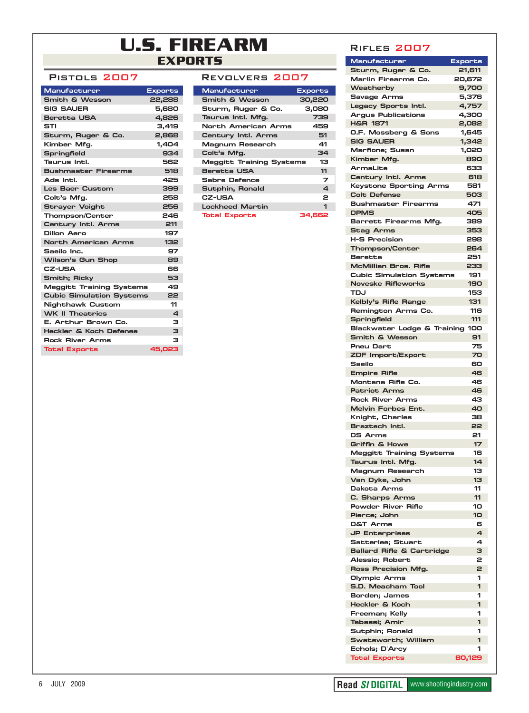# **U.S. FIREARM EXPORTS**

## PISTOLS 2007

| Manufacturer                      | <b>Exports</b>   |
|-----------------------------------|------------------|
| <b>Smith &amp; Wesson</b>         | 22,288           |
| <b>SIG SAUER</b>                  | 5,680            |
| <b>Beretta USA</b>                | 4,826            |
| STI                               | 3.419            |
| Sturm, Ruger & Co.                | 2,868            |
| Kimber Mfg.                       | 1,404            |
| <b>Springfield</b>                | 934              |
| Taurus Intl.                      | 562              |
| <b>Bushmaster Firearms</b>        | 518              |
| Ads Intl.                         | 425              |
| <b>Les Baer Custom</b>            | 399              |
| Colt's Mfg.                       | 258              |
| <b>Strayer Voight</b>             | 256              |
| <b>Thompson/Center</b>            | 246              |
| Century Intl. Arms                | 211              |
| Dillon Aero                       | 197              |
| <b>North American Arms</b>        | 132 <sub>2</sub> |
| Saeilo Inc.                       | 97               |
| Wilson's Gun Shop                 | 89               |
| <b>CZ-USA</b>                     | 66               |
| <b>Smith; Ricky</b>               | 53               |
| <b>Meggitt Training Systems</b>   | 49               |
| <b>Cubic Simulation Systems</b>   | 22               |
| <b>Nighthawk Custom</b>           | 11               |
| <b>WK II Theatrics</b>            | 4                |
| E. Arthur Brown Co.               | з                |
| <b>Heckler &amp; Koch Defense</b> | 3                |
| <b>Rock River Arms</b>            | з                |
| <b>Total Exports</b>              | 45,023           |

| REVOLVERS 2007                  |                |
|---------------------------------|----------------|
| <b>Manufacturer</b>             | <b>Exports</b> |
| <b>Smith &amp; Wesson</b>       | 30,220         |
| Sturm, Ruger & Co.              | 3,080          |
| Taurus Intl. Mfg.               | 739            |
| North American Arms             | 459            |
| Century Intl. Arms              | 51             |
| Magnum Research                 | 41             |
| Colt's Mfg.                     | 34             |
| <b>Meggitt Training Systems</b> | 13             |
| Beretta USA                     | 11             |
| Sabre Defence                   | 7              |
| Sutphin, Ronald                 | 4              |
| <b>CZ-USA</b>                   | 2              |
| <b>Lockheed Martin</b>          | $\mathbf{I}$   |
| Total Exports                   | 34.662         |

#### **RIFLES 2007**

| Manufacturer                                     | <b>Exports</b> |
|--------------------------------------------------|----------------|
| Sturm, Ruger & Co.                               | 21,611         |
| Marlin Firearms Co.                              | 20,672         |
| Weatherby                                        | 9,700          |
| <b>Savage Arms</b>                               | 5,376          |
| Legacy Sports Intl.<br><b>Araus Publications</b> | 4,757          |
| <b>H&amp;R 1871</b>                              | 4,300<br>2,082 |
| O.F. Mossberg & Sons                             | 1,645          |
| <b>SIG SAUER</b>                                 | 1,342          |
| <b>Marfione; Susan</b>                           | 1,020          |
| Kimber Mfg.                                      | 890            |
| ArmaLite                                         | 633            |
| Century Intl. Arms                               | 618            |
| Keystone Sporting Arms                           | 581            |
| <b>Colt Defense</b>                              | 503            |
| <b>Bushmaster Firearms</b><br><b>DPMS</b>        | 471<br>405     |
| Barrett Firearms Mfg.                            | 389            |
| <b>Stag Arms</b>                                 | 353            |
| <b>H-S Precision</b>                             | 298            |
| <b>Thompson/Center</b>                           | 264            |
| Beretta                                          | 251            |
| <b>McMillian Bros, Rifle</b>                     | 233            |
| <b>Cubic Simulation Systems</b>                  | 191            |
| <b>Noveske Rifleworks</b>                        | 190            |
| TDJ                                              | 153            |
| Kelbly's Rifle Range<br>Remington Arms Co.       | 131<br>116     |
| Springfield                                      | 111            |
| Blackwater Lodge & Training 100                  |                |
| <b>Smith &amp; Wesson</b>                        | 91             |
| <b>Pneu Dart</b>                                 | 75             |
| ZDF Import/Export                                | 70             |
| Saeilo                                           | 60             |
| <b>Empire Rifle</b>                              | 46             |
| Montana Rifle Co.<br>Patriot Arms                | 46             |
| <b>Rock River Arms</b>                           | 46<br>43       |
| <b>Melvin Forbes Ent.</b>                        | 40             |
| Knight, Charles                                  | 38             |
| Braztech Intl.                                   | 22             |
| <b>DS Arms</b>                                   | 21             |
| <b>Griffin &amp; Howe</b>                        | 17             |
| Meggitt Training System:                         | 16             |
| Taurus Intl. Mfg.                                | 14             |
| <b>Magnum Research</b><br>Van Dyke, John         | 13<br>13       |
| Dakota Arms                                      | 11             |
| C. Sharps Arms                                   | 11             |
| <b>Powder River Rifle</b>                        | 10             |
| Pierce; John                                     | 10             |
| <b>D&amp;T Arms</b>                              | 6              |
| <b>JP Enterprises</b>                            | 4              |
| Satterlee; Stuart                                | 4              |
| <b>Ballard Rifle &amp; Cartridge</b>             | з              |
| Alessio; Robert                                  | 2              |
| Ross Precision Mfg.<br>Olympic Arms              | 2<br>1         |
| S.D. Meacham Tool                                | 1              |
| Borden; James                                    | 1              |
| Heckler & Koch                                   | 1              |
| Freeman; Kelly                                   | 1              |
| Tabassi; Amir                                    | 1              |
| Sutphin; Ronald                                  | 1              |
| Swatsworth; William                              | 1              |
| Echols; D'Arcy                                   | 1              |
| <b>Total Exports</b>                             | 80,129         |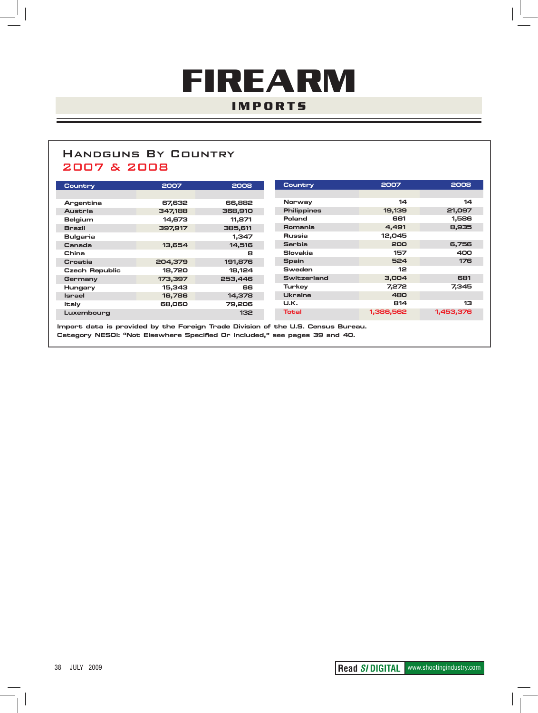# **FIREARM IMPORTS**

# **HANDGUNS BY COUNTRY** 2007 & 2008

| Country               | 2007    | 2008             | Country        | 2007            | 2008      |
|-----------------------|---------|------------------|----------------|-----------------|-----------|
|                       |         |                  |                |                 |           |
| Argentina             | 67,632  | 66,882           | Norway         | 14              | 14        |
| Austria               | 347,188 | 368,910          | Philippines    | 19,139          | 21,097    |
| Belgium               | 14.673  | 11.871           | Poland         | 661             | 1,586     |
| <b>Brazil</b>         | 397,917 | 385,611          | Romania        | 4,491           | 8,935     |
| <b>Bulgaria</b>       |         | 1.347            | Russia         | 12,045          |           |
| Canada                | 13,654  | 14,516           | <b>Serbia</b>  | 200             | 6,756     |
| China                 |         | 8                | Slovakia       | 157             | 400       |
| Croatia               | 204,379 | 191,876          | Spain          | 524             | 176       |
| <b>Czech Republic</b> | 18,720  | 18,124           | Sweden         | 12 <sup>2</sup> |           |
| Germany               | 173,397 | 253,446          | Switzerland    | 3,004           | 681       |
| Hungary               | 15,343  | 66               | Turkey         | 7,272           | 7,345     |
| Israel                | 16,786  | 14,378           | <b>Ukraine</b> | 480             |           |
| ltaly                 | 68,060  | 79.206           | U.K.           | 814             | 13        |
| Luxembourg            |         | 132 <sub>2</sub> | Total          | 1,386,562       | 1,453,376 |

Import data is provided by the Foreign Trade Division of the U.S. Census Bureau. Category NESOI: "Not Elsewhere Specified Or Included," see pages 39 and 40.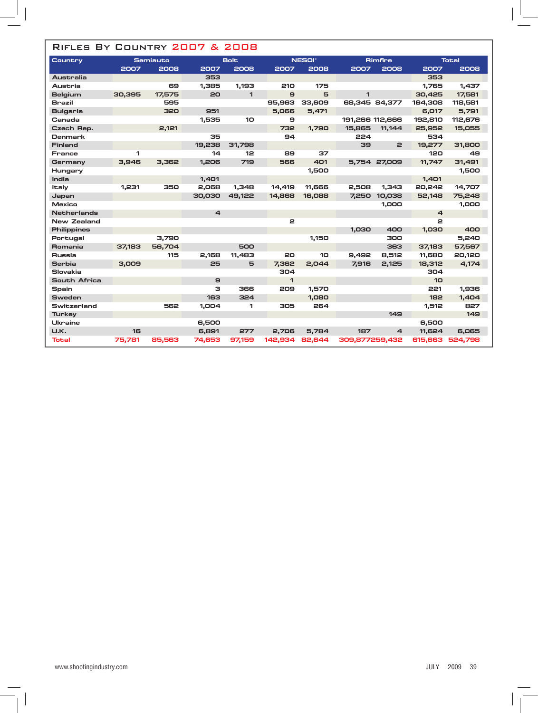# RIFLES BY COUNTRY 2007 & 2008

| Country            |        | <b>Semiauto</b> |        | <b>Bolt</b>  |              | <b>NESOI*</b> |                 | <b>Rimfire</b> |         | <b>Total</b> |  |
|--------------------|--------|-----------------|--------|--------------|--------------|---------------|-----------------|----------------|---------|--------------|--|
|                    | 2007   | 2008            | 2007   | 2008         | 2007         | 2008          | 2007            | 2008           | 2007    | 2008         |  |
| Australia          |        |                 | 353    |              |              |               |                 |                | 353     |              |  |
| Austria            |        | 69              | 1,385  | 1,193        | 210          | 175           |                 |                | 1,765   | 1,437        |  |
| Belgium            | 30,395 | 17,575          | 20     | $\mathbf{1}$ | $\mathbf{a}$ | 5             | 1               |                | 30,425  | 17,581       |  |
| <b>Brazil</b>      |        | 595             |        |              | 95,963       | 33,609        |                 | 68,345 84,377  | 164,308 | 118,581      |  |
| <b>Bulgaria</b>    |        | 320             | 951    |              | 5,066        | 5,471         |                 |                | 6,017   | 5,791        |  |
| Canada             |        |                 | 1,535  | 10           | 9            |               | 191,266 112,666 |                | 192,810 | 112,676      |  |
| Czech Rep.         |        | 2,121           |        |              | 732          | 1.790         | 15,865          | 11,144         | 25,952  | 15,055       |  |
| Denmark            |        |                 | 35     |              | 94           |               | 224             |                | 534     |              |  |
| <b>Finland</b>     |        |                 | 19,238 | 31,798       |              |               | 39              | $\mathbf{z}$   | 19.277  | 31,800       |  |
| France             | 1      |                 | 14     | 12           | 89           | 37            |                 |                | 120     | 49           |  |
| Germany            | 3,946  | 3,362           | 1,206  | 719          | 566          | 401           |                 | 5,754 27,009   | 11,747  | 31,491       |  |
| Hungary            |        |                 |        |              |              | 1,500         |                 |                |         | 1,500        |  |
| India              |        |                 | 1,401  |              |              |               |                 |                | 1.401   |              |  |
| <b>Italy</b>       | 1.231  | 350             | 2,068  | 1,348        | 14,419       | 11,666        | 2,508           | 1.343          | 20,242  | 14,707       |  |
| Japan              |        |                 | 30,030 | 49,122       | 14,868       | 16,088        | 7,250           | 10,038         | 52,148  | 75,248       |  |
| <b>Mexico</b>      |        |                 |        |              |              |               |                 | 1,000          |         | 1,000        |  |
| <b>Netherlands</b> |        |                 | 4      |              |              |               |                 |                | 4       |              |  |
| <b>New Zealand</b> |        |                 |        |              | $\mathbf{z}$ |               |                 |                | 2       |              |  |
| <b>Philippines</b> |        |                 |        |              |              |               | 1,030           | 400            | 1,030   | 400          |  |
| Portugal           |        | 3,790           |        |              |              | 1,150         |                 | 300            |         | 5,240        |  |
| Romania            | 37,183 | 56,704          |        | 500          |              |               |                 | 363            | 37,183  | 57,567       |  |
| Russia             |        | 115             | 2.168  | 11.483       | 20           | 10            | 9.492           | 8,512          | 11,680  | 20,120       |  |
| Serbia             | 3,009  |                 | 25     | 5            | 7,362        | 2.044         | 7,916           | 2,125          | 18,312  | 4,174        |  |
| Slovakia           |        |                 |        |              | 304          |               |                 |                | 304     |              |  |
| South Africa       |        |                 | 9      |              | $\mathbf{1}$ |               |                 |                | 10      |              |  |
| Spain              |        |                 | з      | 366          | 209          | 1,570         |                 |                | 221     | 1,936        |  |
| <b>Sweden</b>      |        |                 | 163    | 324          |              | 1,080         |                 |                | 182     | 1,404        |  |
| Switzerland        |        | 562             | 1,004  | 1            | 305          | 264           |                 |                | 1,512   | 827          |  |
| <b>Turkey</b>      |        |                 |        |              |              |               |                 | 149            |         | 149          |  |
| Ukraine            |        |                 | 6,500  |              |              |               |                 |                | 6,500   |              |  |
| U.K.               | 16     |                 | 6,891  | 277          | 2.706        | 5.784         | 187             | 4              | 11.624  | 6.065        |  |
| Total              | 75,781 | 85,563          | 74,653 | 97,159       | 142,934      | 82,644        | 309,877259,432  |                | 615,663 | 524,798      |  |